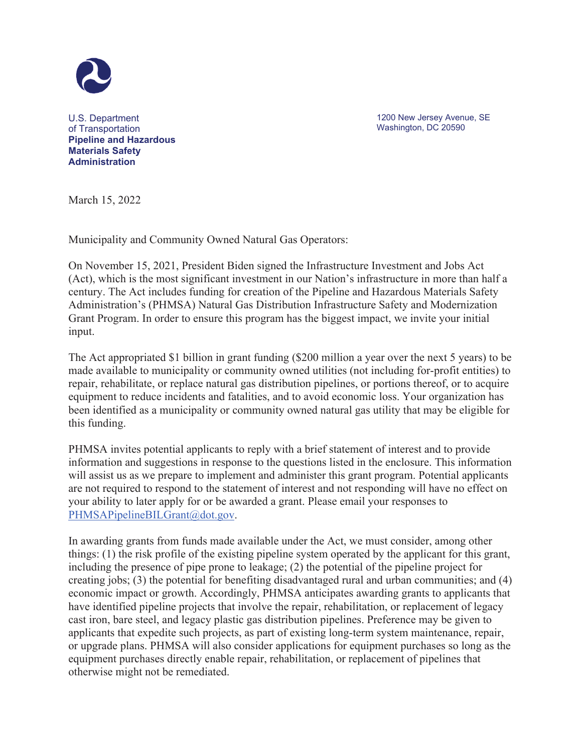

U.S. Department of Transportation **Pipeline and Hazardous Materials Safety Administration**

1200 New Jersey Avenue, SE Washington, DC 20590

March 15, 2022

Municipality and Community Owned Natural Gas Operators:

On November 15, 2021, President Biden signed the Infrastructure Investment and Jobs Act (Act), which is the most significant investment in our Nation's infrastructure in more than half a century. The Act includes funding for creation of the Pipeline and Hazardous Materials Safety Administration's (PHMSA) Natural Gas Distribution Infrastructure Safety and Modernization Grant Program. In order to ensure this program has the biggest impact, we invite your initial input.

The Act appropriated \$1 billion in grant funding (\$200 million a year over the next 5 years) to be made available to municipality or community owned utilities (not including for-profit entities) to repair, rehabilitate, or replace natural gas distribution pipelines, or portions thereof, or to acquire equipment to reduce incidents and fatalities, and to avoid economic loss. Your organization has been identified as a municipality or community owned natural gas utility that may be eligible for this funding.

PHMSA invites potential applicants to reply with a brief statement of interest and to provide information and suggestions in response to the questions listed in the enclosure. This information will assist us as we prepare to implement and administer this grant program. Potential applicants are not required to respond to the statement of interest and not responding will have no effect on your ability to later apply for or be awarded a grant. Please email your responses to PHMSAPipelineBILGrant@dot.gov.

In awarding grants from funds made available under the Act, we must consider, among other things: (1) the risk profile of the existing pipeline system operated by the applicant for this grant, including the presence of pipe prone to leakage; (2) the potential of the pipeline project for creating jobs; (3) the potential for benefiting disadvantaged rural and urban communities; and (4) economic impact or growth. Accordingly, PHMSA anticipates awarding grants to applicants that have identified pipeline projects that involve the repair, rehabilitation, or replacement of legacy cast iron, bare steel, and legacy plastic gas distribution pipelines. Preference may be given to applicants that expedite such projects, as part of existing long-term system maintenance, repair, or upgrade plans. PHMSA will also consider applications for equipment purchases so long as the equipment purchases directly enable repair, rehabilitation, or replacement of pipelines that otherwise might not be remediated.